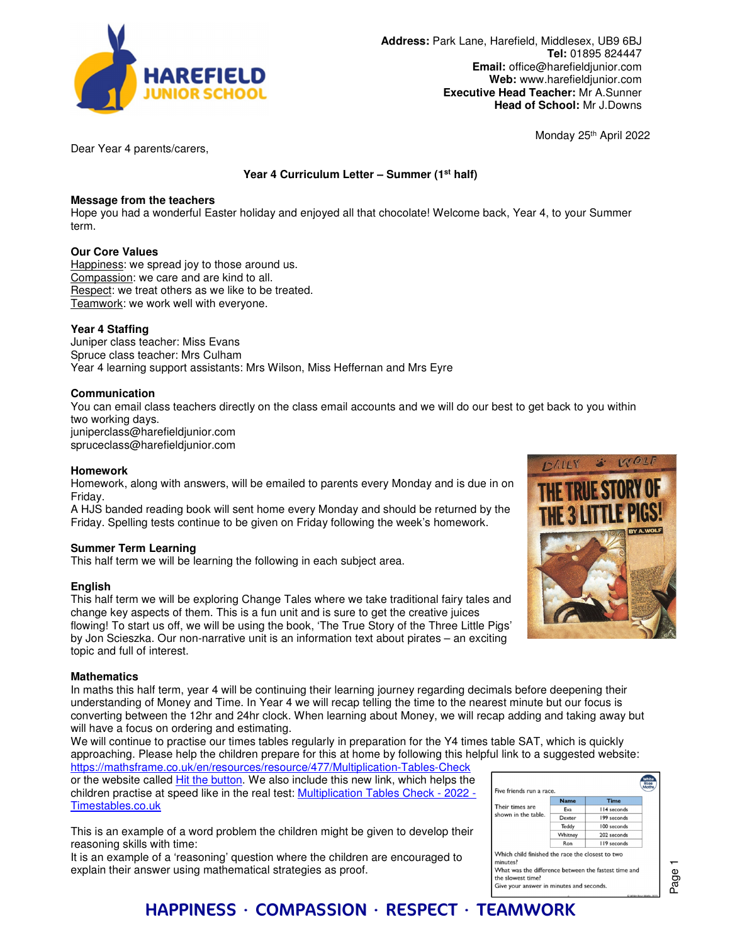

**Address:** Park Lane, Harefield, Middlesex, UB9 6BJ **Tel:** 01895 824447 **Email:** office@harefieldjunior.com **Web:** www.harefieldjunior.com **Executive Head Teacher:** Mr A.Sunner **Head of School:** Mr J.Downs

Monday 25th April 2022

Dear Year 4 parents/carers,

**Year 4 Curriculum Letter – Summer (1st half)** 

### **Message from the teachers**

Hope you had a wonderful Easter holiday and enjoyed all that chocolate! Welcome back, Year 4, to your Summer term.

## **Our Core Values**

Happiness: we spread joy to those around us. Compassion: we care and are kind to all. Respect: we treat others as we like to be treated. Teamwork: we work well with everyone.

## **Year 4 Staffing**

Juniper class teacher: Miss Evans Spruce class teacher: Mrs Culham Year 4 learning support assistants: Mrs Wilson, Miss Heffernan and Mrs Eyre

### **Communication**

You can email class teachers directly on the class email accounts and we will do our best to get back to you within two working days. juniperclass@harefieldjunior.com spruceclass@harefieldjunior.com

#### **Homework**

Homework, along with answers, will be emailed to parents every Monday and is due in on Friday.

A HJS banded reading book will sent home every Monday and should be returned by the Friday. Spelling tests continue to be given on Friday following the week's homework.

### **Summer Term Learning**

This half term we will be learning the following in each subject area.

### **English**

This half term we will be exploring Change Tales where we take traditional fairy tales and change key aspects of them. This is a fun unit and is sure to get the creative juices flowing! To start us off, we will be using the book, 'The True Story of the Three Little Pigs' by Jon Scieszka. Our non-narrative unit is an information text about pirates – an exciting topic and full of interest.

### **Mathematics**

In maths this half term, year 4 will be continuing their learning journey regarding decimals before deepening their understanding of Money and Time. In Year 4 we will recap telling the time to the nearest minute but our focus is converting between the 12hr and 24hr clock. When learning about Money, we will recap adding and taking away but will have a focus on ordering and estimating.

We will continue to practise our times tables regularly in preparation for the Y4 times table SAT, which is quickly approaching. Please help the children prepare for this at home by following this helpful link to a suggested website:

https://mathsframe.co.uk/en/resources/resource/477/Multiplication-Tables-Check or the website called Hit the button. We also include this new link, which helps the children practise at speed like in the real test: Multiplication Tables Check - 2022 -Timestables.co.uk

This is an example of a word problem the children might be given to develop their reasoning skills with time:

It is an example of a 'reasoning' question where the children are encouraged to explain their answer using mathematical strategies as proof.



| Five friends run a race.               |             |             |
|----------------------------------------|-------------|-------------|
| Their times are<br>shown in the table. | <b>Name</b> | <b>Time</b> |
|                                        | Eva         | 114 seconds |
|                                        | Dexter      | 199 seconds |
|                                        | Teddy       | 100 seconds |
|                                        | Whitney     | 202 seconds |
|                                        | Ron         | 119 seconds |

the slowest time? Give your answer in minutes and seconds.